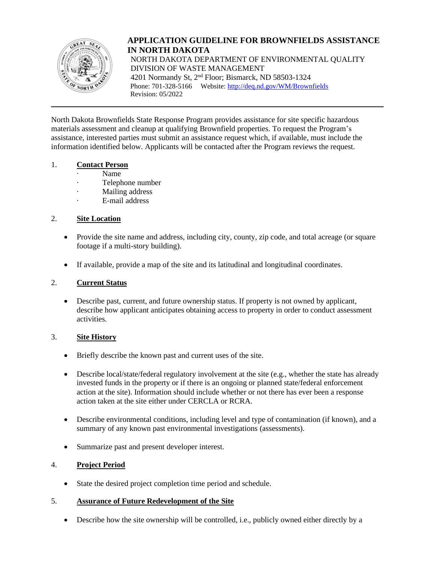

**APPLICATION GUIDELINE FOR BROWNFIELDS ASSISTANCE IN NORTH DAKOTA** NORTH DAKOTA DEPARTMENT OF ENVIRONMENTAL QUALITY DIVISION OF WASTE MANAGEMENT 4201 Normandy St, 2nd Floor; Bismarck, ND 58503-1324 Phone: 701-328-5166 Website: http://deq.nd.gov/WM/Brownfields Revision: 05/2022

North Dakota Brownfields State Response Program provides assistance for site specific hazardous materials assessment and cleanup at qualifying Brownfield properties. To request the Program's assistance, interested parties must submit an assistance request which, if available, must include the information identified below. Applicants will be contacted after the Program reviews the request.

#### 1. **Contact Person**

- · Name
- Telephone number
- Mailing address
- E-mail address

## 2. **Site Location**

- Provide the site name and address, including city, county, zip code, and total acreage (or square footage if a multi-story building).
- If available, provide a map of the site and its latitudinal and longitudinal coordinates.

### 2. **Current Status**

• Describe past, current, and future ownership status. If property is not owned by applicant, describe how applicant anticipates obtaining access to property in order to conduct assessment activities.

#### 3. **Site History**

- Briefly describe the known past and current uses of the site.
- Describe local/state/federal regulatory involvement at the site (e.g., whether the state has already invested funds in the property or if there is an ongoing or planned state/federal enforcement action at the site). Information should include whether or not there has ever been a response action taken at the site either under CERCLA or RCRA.
- Describe environmental conditions, including level and type of contamination (if known), and a summary of any known past environmental investigations (assessments).
- Summarize past and present developer interest.

#### 4. **Project Period**

• State the desired project completion time period and schedule.

#### 5. **Assurance of Future Redevelopment of the Site**

• Describe how the site ownership will be controlled, i.e., publicly owned either directly by a